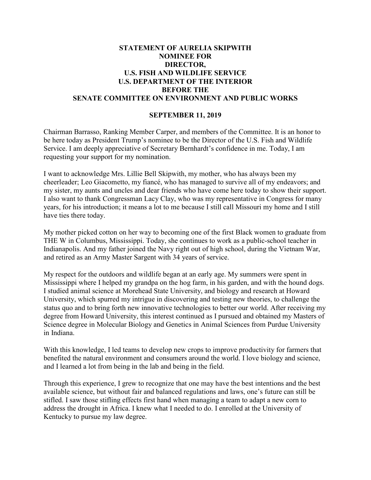## **STATEMENT OF AURELIA SKIPWITH NOMINEE FOR DIRECTOR, U.S. FISH AND WILDLIFE SERVICE U.S. DEPARTMENT OF THE INTERIOR BEFORE THE SENATE COMMITTEE ON ENVIRONMENT AND PUBLIC WORKS**

## **SEPTEMBER 11, 2019**

Chairman Barrasso, Ranking Member Carper, and members of the Committee. It is an honor to be here today as President Trump's nominee to be the Director of the U.S. Fish and Wildlife Service. I am deeply appreciative of Secretary Bernhardt's confidence in me. Today, I am requesting your support for my nomination.

I want to acknowledge Mrs. Lillie Bell Skipwith, my mother, who has always been my cheerleader; Leo Giacometto, my fiancé, who has managed to survive all of my endeavors; and my sister, my aunts and uncles and dear friends who have come here today to show their support. I also want to thank Congressman Lacy Clay, who was my representative in Congress for many years, for his introduction; it means a lot to me because I still call Missouri my home and I still have ties there today.

My mother picked cotton on her way to becoming one of the first Black women to graduate from THE W in Columbus, Mississippi. Today, she continues to work as a public-school teacher in Indianapolis. And my father joined the Navy right out of high school, during the Vietnam War, and retired as an Army Master Sargent with 34 years of service.

My respect for the outdoors and wildlife began at an early age. My summers were spent in Mississippi where I helped my grandpa on the hog farm, in his garden, and with the hound dogs. I studied animal science at Morehead State University, and biology and research at Howard University, which spurred my intrigue in discovering and testing new theories, to challenge the status quo and to bring forth new innovative technologies to better our world. After receiving my degree from Howard University, this interest continued as I pursued and obtained my Masters of Science degree in Molecular Biology and Genetics in Animal Sciences from Purdue University in Indiana.

With this knowledge, I led teams to develop new crops to improve productivity for farmers that benefited the natural environment and consumers around the world. I love biology and science, and I learned a lot from being in the lab and being in the field.

Through this experience, I grew to recognize that one may have the best intentions and the best available science, but without fair and balanced regulations and laws, one's future can still be stifled. I saw those stifling effects first hand when managing a team to adapt a new corn to address the drought in Africa. I knew what I needed to do. I enrolled at the University of Kentucky to pursue my law degree.